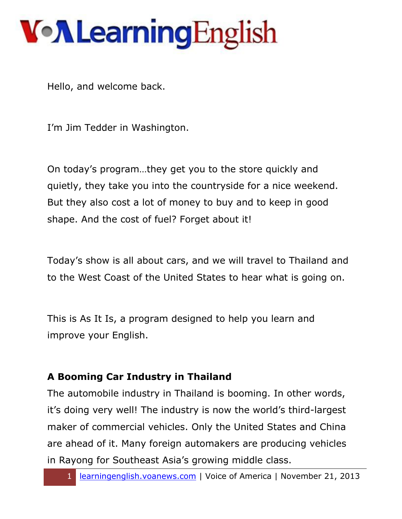Hello, and welcome back.

I'm Jim Tedder in Washington.

On today's program…they get you to the store quickly and quietly, they take you into the countryside for a nice weekend. But they also cost a lot of money to buy and to keep in good shape. And the cost of fuel? Forget about it!

Today's show is all about cars, and we will travel to Thailand and to the West Coast of the United States to hear what is going on.

This is As It Is, a program designed to help you learn and improve your English.

#### **A Booming Car Industry in Thailand**

The automobile industry in Thailand is booming. In other words, it's doing very well! The industry is now the world's third-largest maker of commercial vehicles. Only the United States and China are ahead of it. Many foreign automakers are producing vehicles in Rayong for Southeast Asia's growing middle class.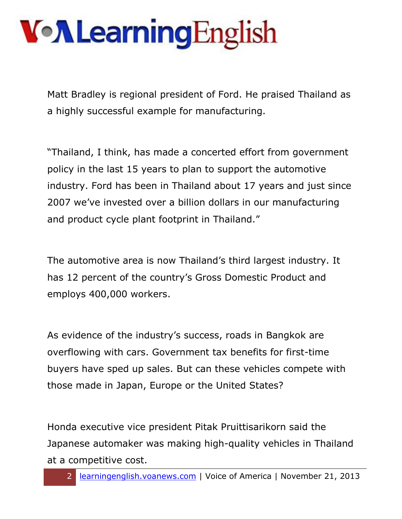Matt Bradley is regional president of Ford. He praised Thailand as a highly successful example for manufacturing.

"Thailand, I think, has made a concerted effort from government policy in the last 15 years to plan to support the automotive industry. Ford has been in Thailand about 17 years and just since 2007 we've invested over a billion dollars in our manufacturing and product cycle plant footprint in Thailand."

The automotive area is now Thailand's third largest industry. It has 12 percent of the country's Gross Domestic Product and employs 400,000 workers.

As evidence of the industry's success, roads in Bangkok are overflowing with cars. Government tax benefits for first-time buyers have sped up sales. But can these vehicles compete with those made in Japan, Europe or the United States?

Honda executive vice president Pitak Pruittisarikorn said the Japanese automaker was making high-quality vehicles in Thailand at a competitive cost.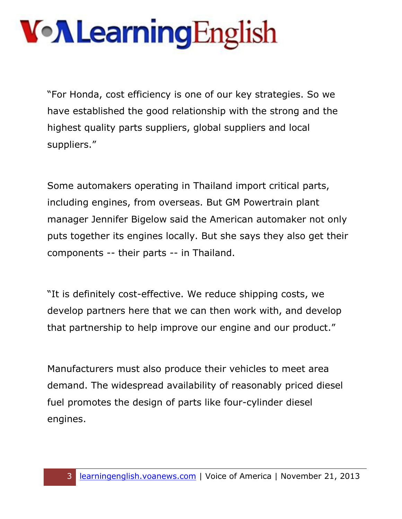"For Honda, cost efficiency is one of our key strategies. So we have established the good relationship with the strong and the highest quality parts suppliers, global suppliers and local suppliers."

Some automakers operating in Thailand import critical parts, including engines, from overseas. But GM Powertrain plant manager Jennifer Bigelow said the American automaker not only puts together its engines locally. But she says they also get their components -- their parts -- in Thailand.

"It is definitely cost-effective. We reduce shipping costs, we develop partners here that we can then work with, and develop that partnership to help improve our engine and our product."

Manufacturers must also produce their vehicles to meet area demand. The widespread availability of reasonably priced diesel fuel promotes the design of parts like four-cylinder diesel engines.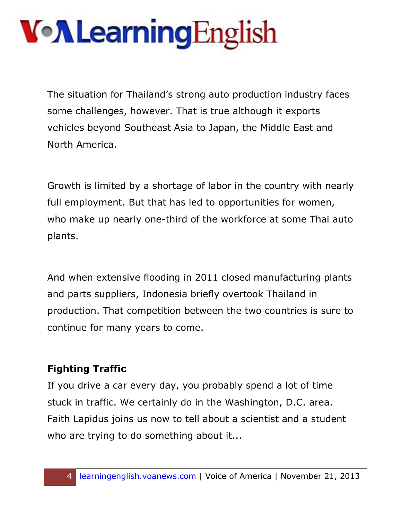# VollearningEnglish

The situation for Thailand's strong auto production industry faces some challenges, however. That is true although it exports vehicles beyond Southeast Asia to Japan, the Middle East and North America.

Growth is limited by a shortage of labor in the country with nearly full employment. But that has led to opportunities for women, who make up nearly one-third of the workforce at some Thai auto plants.

And when extensive flooding in 2011 closed manufacturing plants and parts suppliers, Indonesia briefly overtook Thailand in production. That competition between the two countries is sure to continue for many years to come.

#### **Fighting Traffic**

If you drive a car every day, you probably spend a lot of time stuck in traffic. We certainly do in the Washington, D.C. area. Faith Lapidus joins us now to tell about a scientist and a student who are trying to do something about it...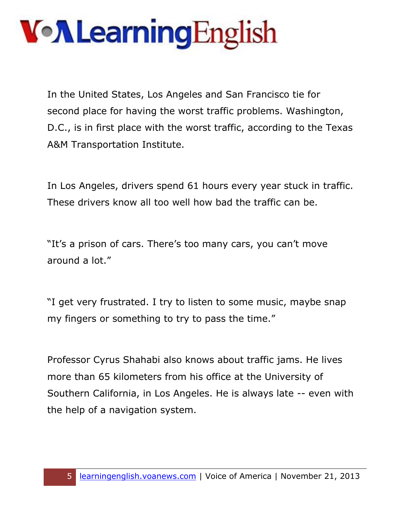In the United States, Los Angeles and San Francisco tie for second place for having the worst traffic problems. Washington, D.C., is in first place with the worst traffic, according to the Texas A&M Transportation Institute.

In Los Angeles, drivers spend 61 hours every year stuck in traffic. These drivers know all too well how bad the traffic can be.

"It's a prison of cars. There's too many cars, you can't move around a lot."

"I get very frustrated. I try to listen to some music, maybe snap my fingers or something to try to pass the time."

Professor Cyrus Shahabi also knows about traffic jams. He lives more than 65 kilometers from his office at the University of Southern California, in Los Angeles. He is always late -- even with the help of a navigation system.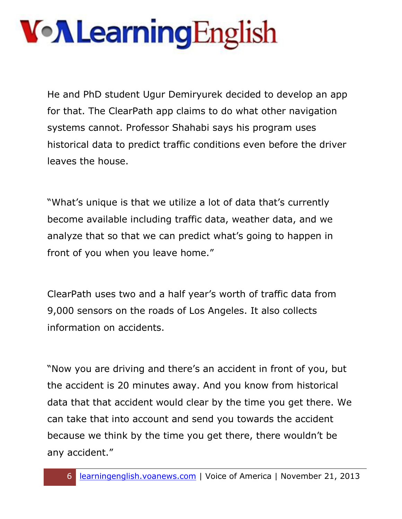# VollearningEnglish

He and PhD student Ugur Demiryurek decided to develop an app for that. The ClearPath app claims to do what other navigation systems cannot. Professor Shahabi says his program uses historical data to predict traffic conditions even before the driver leaves the house.

"What's unique is that we utilize a lot of data that's currently become available including traffic data, weather data, and we analyze that so that we can predict what's going to happen in front of you when you leave home."

ClearPath uses two and a half year's worth of traffic data from 9,000 sensors on the roads of Los Angeles. It also collects information on accidents.

"Now you are driving and there's an accident in front of you, but the accident is 20 minutes away. And you know from historical data that that accident would clear by the time you get there. We can take that into account and send you towards the accident because we think by the time you get there, there wouldn't be any accident."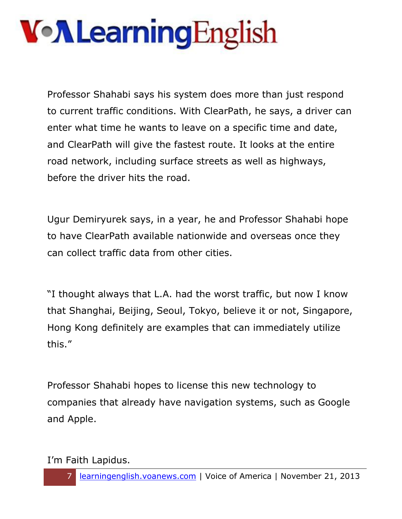Professor Shahabi says his system does more than just respond to current traffic conditions. With ClearPath, he says, a driver can enter what time he wants to leave on a specific time and date, and ClearPath will give the fastest route. It looks at the entire road network, including surface streets as well as highways, before the driver hits the road.

Ugur Demiryurek says, in a year, he and Professor Shahabi hope to have ClearPath available nationwide and overseas once they can collect traffic data from other cities.

"I thought always that L.A. had the worst traffic, but now I know that Shanghai, Beijing, Seoul, Tokyo, believe it or not, Singapore, Hong Kong definitely are examples that can immediately utilize this."

Professor Shahabi hopes to license this new technology to companies that already have navigation systems, such as Google and Apple.

I'm Faith Lapidus.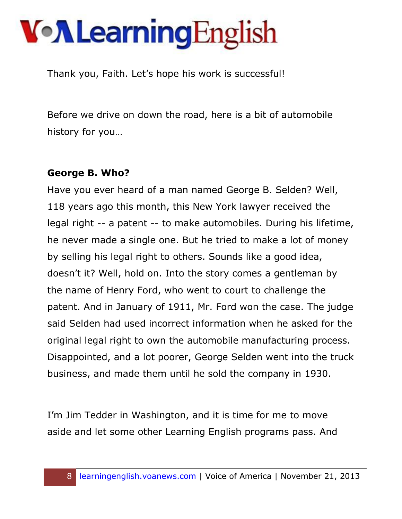Thank you, Faith. Let's hope his work is successful!

Before we drive on down the road, here is a bit of automobile history for you…

#### **George B. Who?**

Have you ever heard of a man named George B. Selden? Well, 118 years ago this month, this New York lawyer received the legal right -- a patent -- to make automobiles. During his lifetime, he never made a single one. But he tried to make a lot of money by selling his legal right to others. Sounds like a good idea, doesn't it? Well, hold on. Into the story comes a gentleman by the name of Henry Ford, who went to court to challenge the patent. And in January of 1911, Mr. Ford won the case. The judge said Selden had used incorrect information when he asked for the original legal right to own the automobile manufacturing process. Disappointed, and a lot poorer, George Selden went into the truck business, and made them until he sold the company in 1930.

I'm Jim Tedder in Washington, and it is time for me to move aside and let some other Learning English programs pass. And